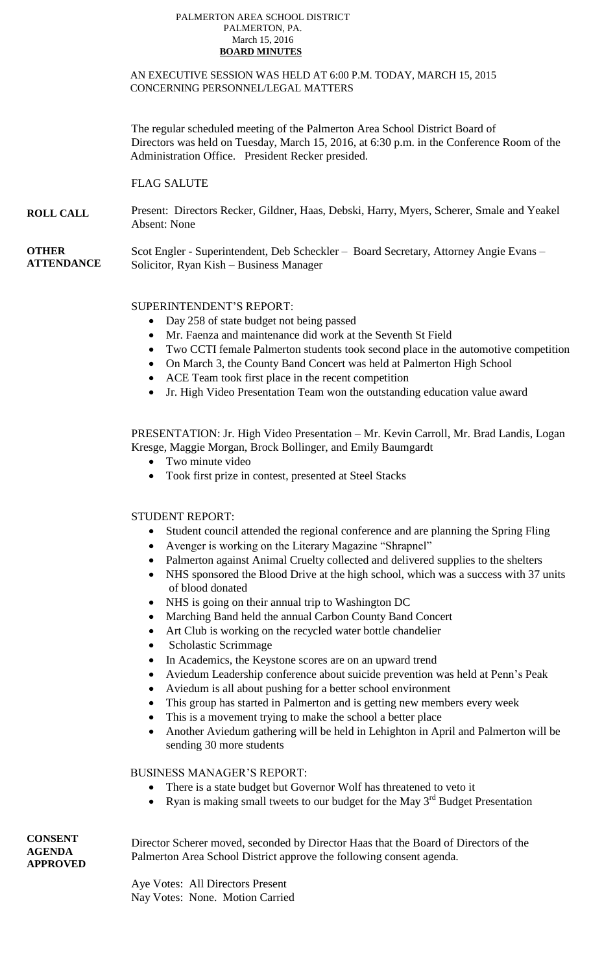#### PALMERTON AREA SCHOOL DISTRICT PALMERTON, PA. March 15, 2016  **BOARD MINUTES**

### AN EXECUTIVE SESSION WAS HELD AT 6:00 P.M. TODAY, MARCH 15, 2015 CONCERNING PERSONNEL/LEGAL MATTERS

The regular scheduled meeting of the Palmerton Area School District Board of Directors was held on Tuesday, March 15, 2016, at 6:30 p.m. in the Conference Room of the Administration Office. President Recker presided.

# FLAG SALUTE

**ROLL CALL** Present: Directors Recker, Gildner, Haas, Debski, Harry, Myers, Scherer, Smale and Yeakel Absent: None

**OTHER ATTENDANCE** Scot Engler - Superintendent, Deb Scheckler – Board Secretary, Attorney Angie Evans – Solicitor, Ryan Kish – Business Manager

# SUPERINTENDENT'S REPORT:

- Day 258 of state budget not being passed
- Mr. Faenza and maintenance did work at the Seventh St Field
- Two CCTI female Palmerton students took second place in the automotive competition.
- On March 3, the County Band Concert was held at Palmerton High School
- ACE Team took first place in the recent competition
- Jr. High Video Presentation Team won the outstanding education value award

PRESENTATION: Jr. High Video Presentation – Mr. Kevin Carroll, Mr. Brad Landis, Logan Kresge, Maggie Morgan, Brock Bollinger, and Emily Baumgardt

- Two minute video
- Took first prize in contest, presented at Steel Stacks

# STUDENT REPORT:

- Student council attended the regional conference and are planning the Spring Fling
- Avenger is working on the Literary Magazine "Shrapnel"
- Palmerton against Animal Cruelty collected and delivered supplies to the shelters
- NHS sponsored the Blood Drive at the high school, which was a success with 37 units of blood donated
- NHS is going on their annual trip to Washington DC
- Marching Band held the annual Carbon County Band Concert
- Art Club is working on the recycled water bottle chandelier
- Scholastic Scrimmage
- In Academics, the Keystone scores are on an upward trend
- Aviedum Leadership conference about suicide prevention was held at Penn's Peak
- Aviedum is all about pushing for a better school environment
- This group has started in Palmerton and is getting new members every week
- This is a movement trying to make the school a better place
- Another Aviedum gathering will be held in Lehighton in April and Palmerton will be sending 30 more students

BUSINESS MANAGER'S REPORT:

- There is a state budget but Governor Wolf has threatened to veto it
- Ryan is making small tweets to our budget for the May  $3<sup>rd</sup>$  Budget Presentation

Director Scherer moved, seconded by Director Haas that the Board of Directors of the Palmerton Area School District approve the following consent agenda.

Aye Votes: All Directors Present Nay Votes: None. Motion Carried

**CONSENT AGENDA APPROVED**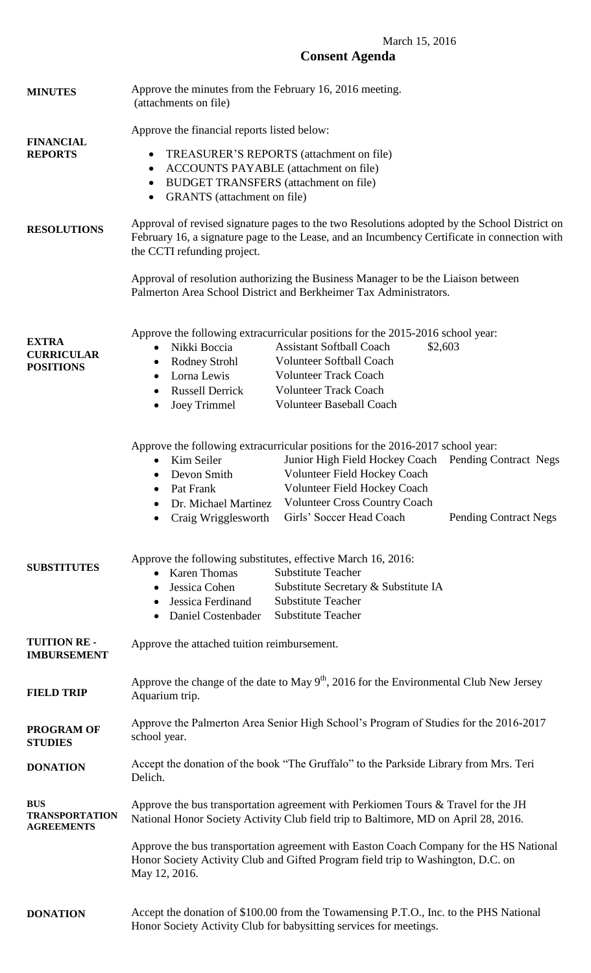# March 15, 2016 **Consent Agenda**

| <b>MINUTES</b>                                           | Approve the minutes from the February 16, 2016 meeting.<br>(attachments on file)                                                                                                                                                                                                                                                                                                                                                   |
|----------------------------------------------------------|------------------------------------------------------------------------------------------------------------------------------------------------------------------------------------------------------------------------------------------------------------------------------------------------------------------------------------------------------------------------------------------------------------------------------------|
| <b>FINANCIAL</b><br><b>REPORTS</b>                       | Approve the financial reports listed below:<br>TREASURER'S REPORTS (attachment on file)<br>$\bullet$<br><b>ACCOUNTS PAYABLE</b> (attachment on file)<br>$\bullet$<br><b>BUDGET TRANSFERS</b> (attachment on file)<br>$\bullet$<br><b>GRANTS</b> (attachment on file)<br>$\bullet$                                                                                                                                                  |
| <b>RESOLUTIONS</b>                                       | Approval of revised signature pages to the two Resolutions adopted by the School District on<br>February 16, a signature page to the Lease, and an Incumbency Certificate in connection with<br>the CCTI refunding project.                                                                                                                                                                                                        |
|                                                          | Approval of resolution authorizing the Business Manager to be the Liaison between<br>Palmerton Area School District and Berkheimer Tax Administrators.                                                                                                                                                                                                                                                                             |
| <b>EXTRA</b><br><b>CURRICULAR</b><br><b>POSITIONS</b>    | Approve the following extracurricular positions for the 2015-2016 school year:<br><b>Assistant Softball Coach</b><br>Nikki Boccia<br>\$2,603<br><b>Volunteer Softball Coach</b><br>Rodney Strohl<br><b>Volunteer Track Coach</b><br>Lorna Lewis<br>$\bullet$<br><b>Volunteer Track Coach</b><br><b>Russell Derrick</b><br>٠<br><b>Volunteer Baseball Coach</b><br><b>Joey Trimmel</b><br>$\bullet$                                 |
|                                                          | Approve the following extracurricular positions for the 2016-2017 school year:<br>Junior High Field Hockey Coach Pending Contract Negs<br>Kim Seiler<br>$\bullet$<br>Volunteer Field Hockey Coach<br>Devon Smith<br>٠<br>Volunteer Field Hockey Coach<br>Pat Frank<br><b>Volunteer Cross Country Coach</b><br>Dr. Michael Martinez<br>$\bullet$<br>Girls' Soccer Head Coach<br><b>Pending Contract Negs</b><br>Craig Wrigglesworth |
| <b>SUBSTITUTES</b>                                       | Approve the following substitutes, effective March 16, 2016:<br><b>Substitute Teacher</b><br><b>Karen Thomas</b><br>Substitute Secretary & Substitute IA<br>Jessica Cohen<br><b>Substitute Teacher</b><br>Jessica Ferdinand<br><b>Substitute Teacher</b><br>Daniel Costenbader                                                                                                                                                     |
| <b>TUITION RE-</b><br><b>IMBURSEMENT</b>                 | Approve the attached tuition reimbursement.                                                                                                                                                                                                                                                                                                                                                                                        |
| <b>FIELD TRIP</b>                                        | Approve the change of the date to May $9th$ , 2016 for the Environmental Club New Jersey<br>Aquarium trip.                                                                                                                                                                                                                                                                                                                         |
| <b>PROGRAM OF</b><br><b>STUDIES</b>                      | Approve the Palmerton Area Senior High School's Program of Studies for the 2016-2017<br>school year.                                                                                                                                                                                                                                                                                                                               |
| <b>DONATION</b>                                          | Accept the donation of the book "The Gruffalo" to the Parkside Library from Mrs. Teri<br>Delich.                                                                                                                                                                                                                                                                                                                                   |
| <b>BUS</b><br><b>TRANSPORTATION</b><br><b>AGREEMENTS</b> | Approve the bus transportation agreement with Perkiomen Tours $&$ Travel for the JH<br>National Honor Society Activity Club field trip to Baltimore, MD on April 28, 2016.                                                                                                                                                                                                                                                         |
|                                                          | Approve the bus transportation agreement with Easton Coach Company for the HS National<br>Honor Society Activity Club and Gifted Program field trip to Washington, D.C. on<br>May 12, 2016.                                                                                                                                                                                                                                        |
| <b>DONATION</b>                                          | Accept the donation of \$100.00 from the Towamensing P.T.O., Inc. to the PHS National<br>Honor Society Activity Club for babysitting services for meetings.                                                                                                                                                                                                                                                                        |